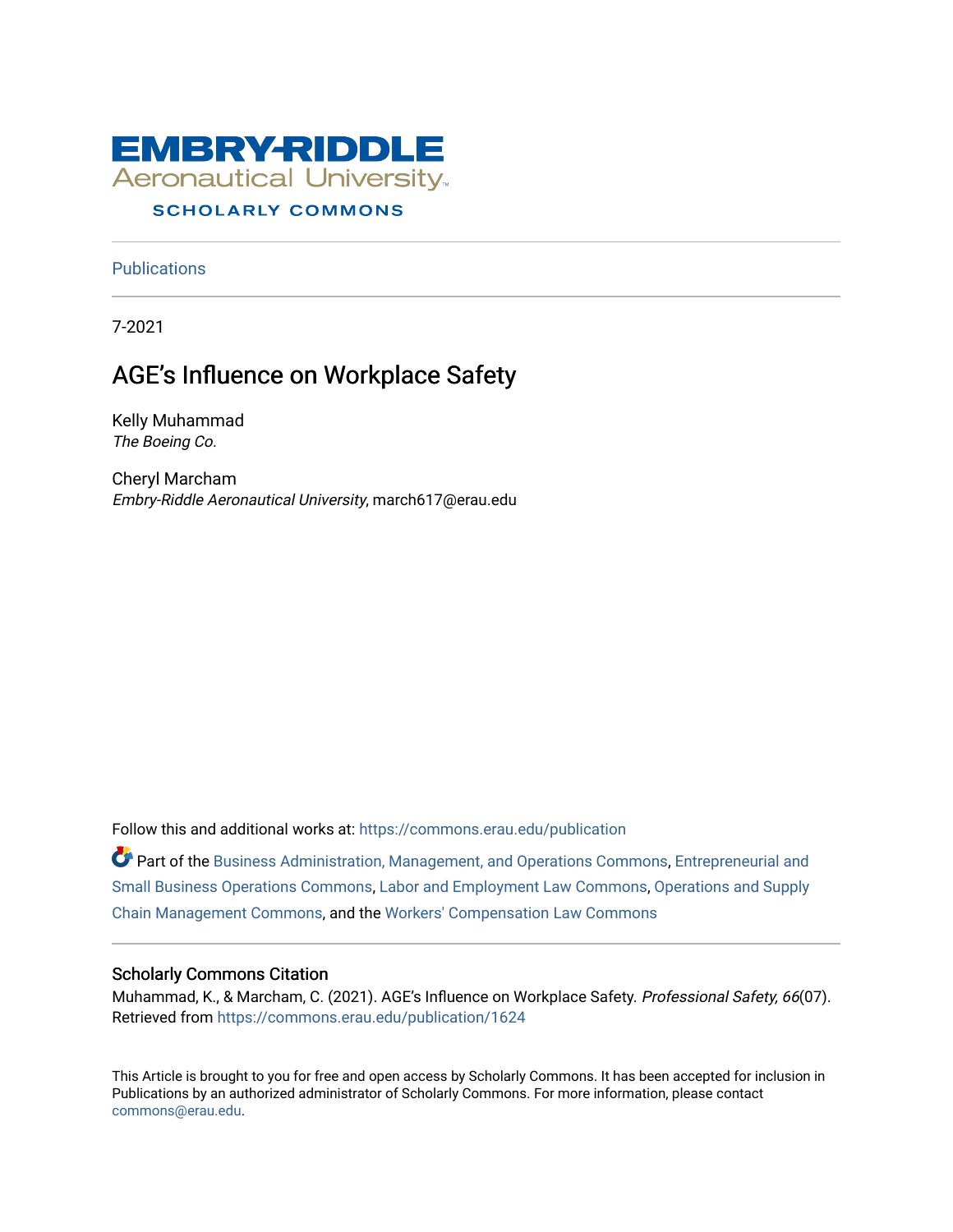

# **SCHOLARLY COMMONS**

**Publications** 

7-2021

# AGE's Influence on Workplace Safety

Kelly Muhammad The Boeing Co.

Cheryl Marcham Embry-Riddle Aeronautical University, march617@erau.edu

Follow this and additional works at: [https://commons.erau.edu/publication](https://commons.erau.edu/publication?utm_source=commons.erau.edu%2Fpublication%2F1624&utm_medium=PDF&utm_campaign=PDFCoverPages) 

Part of the [Business Administration, Management, and Operations Commons](http://network.bepress.com/hgg/discipline/623?utm_source=commons.erau.edu%2Fpublication%2F1624&utm_medium=PDF&utm_campaign=PDFCoverPages), [Entrepreneurial and](http://network.bepress.com/hgg/discipline/630?utm_source=commons.erau.edu%2Fpublication%2F1624&utm_medium=PDF&utm_campaign=PDFCoverPages) [Small Business Operations Commons](http://network.bepress.com/hgg/discipline/630?utm_source=commons.erau.edu%2Fpublication%2F1624&utm_medium=PDF&utm_campaign=PDFCoverPages), [Labor and Employment Law Commons](http://network.bepress.com/hgg/discipline/909?utm_source=commons.erau.edu%2Fpublication%2F1624&utm_medium=PDF&utm_campaign=PDFCoverPages), [Operations and Supply](http://network.bepress.com/hgg/discipline/1229?utm_source=commons.erau.edu%2Fpublication%2F1624&utm_medium=PDF&utm_campaign=PDFCoverPages) [Chain Management Commons](http://network.bepress.com/hgg/discipline/1229?utm_source=commons.erau.edu%2Fpublication%2F1624&utm_medium=PDF&utm_campaign=PDFCoverPages), and the [Workers' Compensation Law Commons](http://network.bepress.com/hgg/discipline/889?utm_source=commons.erau.edu%2Fpublication%2F1624&utm_medium=PDF&utm_campaign=PDFCoverPages) 

### Scholarly Commons Citation

Muhammad, K., & Marcham, C. (2021). AGE's Influence on Workplace Safety. Professional Safety, 66(07). Retrieved from [https://commons.erau.edu/publication/1624](https://commons.erau.edu/publication/1624?utm_source=commons.erau.edu%2Fpublication%2F1624&utm_medium=PDF&utm_campaign=PDFCoverPages) 

This Article is brought to you for free and open access by Scholarly Commons. It has been accepted for inclusion in Publications by an authorized administrator of Scholarly Commons. For more information, please contact [commons@erau.edu](mailto:commons@erau.edu).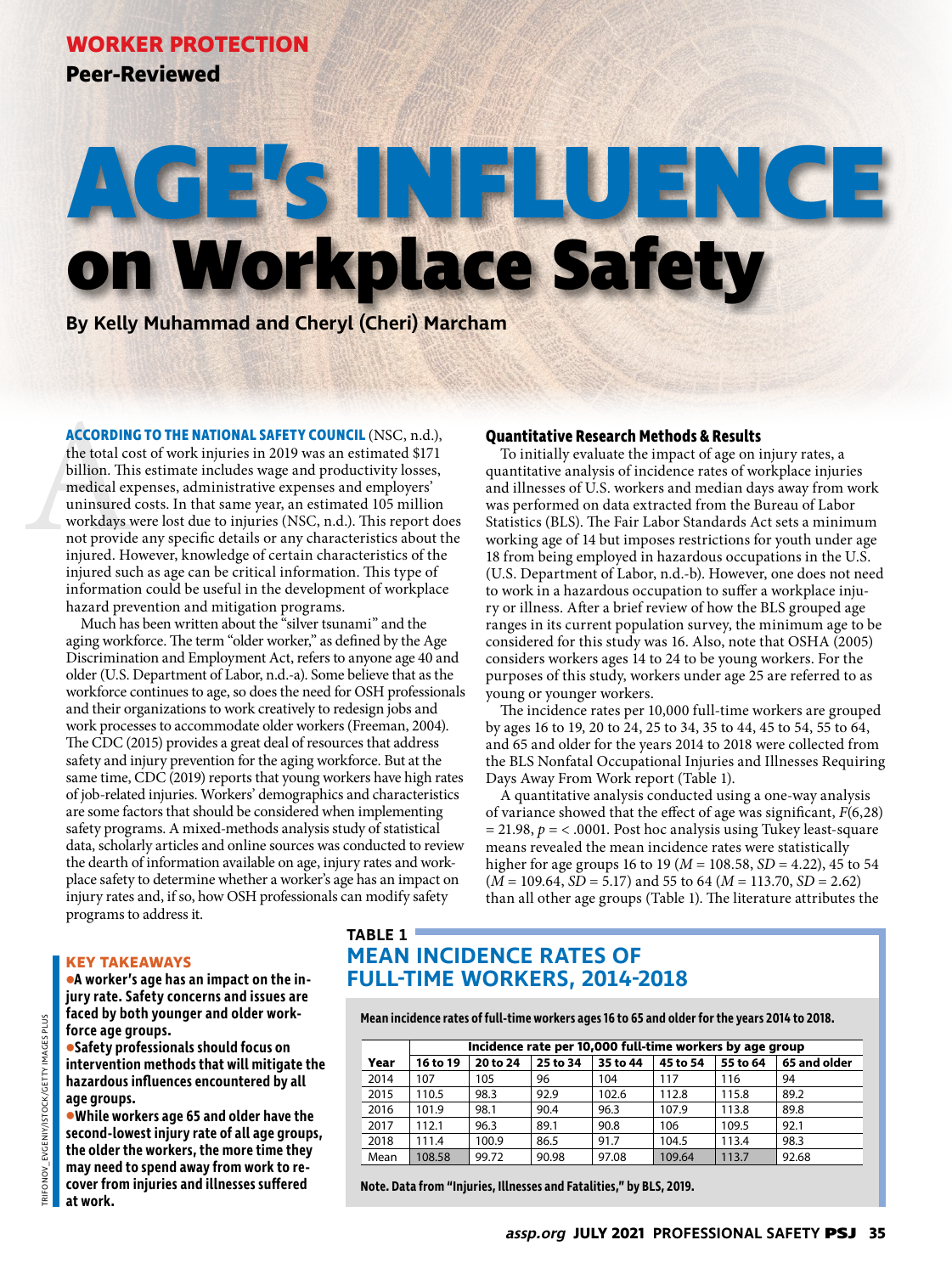**Peer-Reviewed**

# **AGE's INFLUENCE on Workplace Safety**

**By Kelly Muhammad and Cheryl (Cheri) Marcham**

**ACCORDIN**<br>the total co<br>billion. Thi<br>medical ex<br>uninsured<br>workdays<br>not provide<br>injured. He<br>ining due **ACCORDING TO THE NATIONAL SAFETY COUNCIL** (NSC, n.d.), the total cost of work injuries in 2019 was an estimated \$171 billion. This estimate includes wage and productivity losses, medical expenses, administrative expenses and employers' uninsured costs. In that same year, an estimated 105 million workdays were lost due to injuries (NSC, n.d.). This report does not provide any specific details or any characteristics about the injured. However, knowledge of certain characteristics of the injured such as age can be critical information. This type of information could be useful in the development of workplace hazard prevention and mitigation programs.

Much has been written about the "silver tsunami" and the aging workforce. The term "older worker," as defined by the Age Discrimination and Employment Act, refers to anyone age 40 and older (U.S. Department of Labor, n.d.-a). Some believe that as the workforce continues to age, so does the need for OSH professionals and their organizations to work creatively to redesign jobs and work processes to accommodate older workers (Freeman, 2004). The CDC (2015) provides a great deal of resources that address safety and injury prevention for the aging workforce. But at the same time, CDC (2019) reports that young workers have high rates of job-related injuries. Workers' demographics and characteristics are some factors that should be considered when implementing safety programs. A mixed-methods analysis study of statistical data, scholarly articles and online sources was conducted to review the dearth of information available on age, injury rates and workplace safety to determine whether a worker's age has an impact on injury rates and, if so, how OSH professionals can modify safety programs to address it.

#### **Quantitative Research Methods & Results**

To initially evaluate the impact of age on injury rates, a quantitative analysis of incidence rates of workplace injuries and illnesses of U.S. workers and median days away from work was performed on data extracted from the Bureau of Labor Statistics (BLS). The Fair Labor Standards Act sets a minimum working age of 14 but imposes restrictions for youth under age 18 from being employed in hazardous occupations in the U.S. (U.S. Department of Labor, n.d.-b). However, one does not need to work in a hazardous occupation to suffer a workplace injury or illness. After a brief review of how the BLS grouped age ranges in its current population survey, the minimum age to be considered for this study was 16. Also, note that OSHA (2005) considers workers ages 14 to 24 to be young workers. For the purposes of this study, workers under age 25 are referred to as young or younger workers.

The incidence rates per 10,000 full-time workers are grouped by ages 16 to 19, 20 to 24, 25 to 34, 35 to 44, 45 to 54, 55 to 64, and 65 and older for the years 2014 to 2018 were collected from the BLS Nonfatal Occupational Injuries and Illnesses Requiring Days Away From Work report (Table 1).

A quantitative analysis conducted using a one-way analysis of variance showed that the effect of age was significant, *F*(6,28)  $= 21.98$ ,  $p = < .0001$ . Post hoc analysis using Tukey least-square means revealed the mean incidence rates were statistically higher for age groups 16 to 19 (*M* = 108.58, *SD* = 4.22), 45 to 54 (*M* = 109.64, *SD* = 5.17) and 55 to 64 (*M* = 113.70, *SD* = 2.62) than all other age groups (Table 1). The literature attributes the

#### **KEY TAKEAWAYS**

**•A worker's age has an impact on the injury rate. Safety concerns and issues are faced by both younger and older workforce age groups.** 

**•Safety professionals should focus on intervention methods that will mitigate the hazardous influences encountered by all age groups.** 

**•While workers age 65 and older have the second-lowest injury rate of all age groups, the older the workers, the more time they may need to spend away from work to recover from injuries and illnesses suffered at work.**

# **TABLE 1 MEAN INCIDENCE RATES OF FULL-TIME WORKERS, 2014-2018**

**Mean incidence rates of full-time workers ages 16 to 65 and older for the years 2014 to 2018.**

|      | Incidence rate per 10,000 full-time workers by age group |          |          |          |          |          |              |
|------|----------------------------------------------------------|----------|----------|----------|----------|----------|--------------|
| Year | 16 to 19                                                 | 20 to 24 | 25 to 34 | 35 to 44 | 45 to 54 | 55 to 64 | 65 and older |
| 2014 | 107                                                      | 105      | 96       | 104      | 117      | 116      | 94           |
| 2015 | 110.5                                                    | 98.3     | 92.9     | 102.6    | 112.8    | 115.8    | 89.2         |
| 2016 | 101.9                                                    | 98.1     | 90.4     | 96.3     | 107.9    | 113.8    | 89.8         |
| 2017 | 112.1                                                    | 96.3     | 89.1     | 90.8     | 106      | 109.5    | 92.1         |
| 2018 | 111.4                                                    | 100.9    | 86.5     | 91.7     | 104.5    | 113.4    | 98.3         |
| Mean | 108.58                                                   | 99.72    | 90.98    | 97.08    | 109.64   | 113.7    | 92.68        |

**Note. Data from "Injuries, Illnesses and Fatalities," by BLS, 2019.**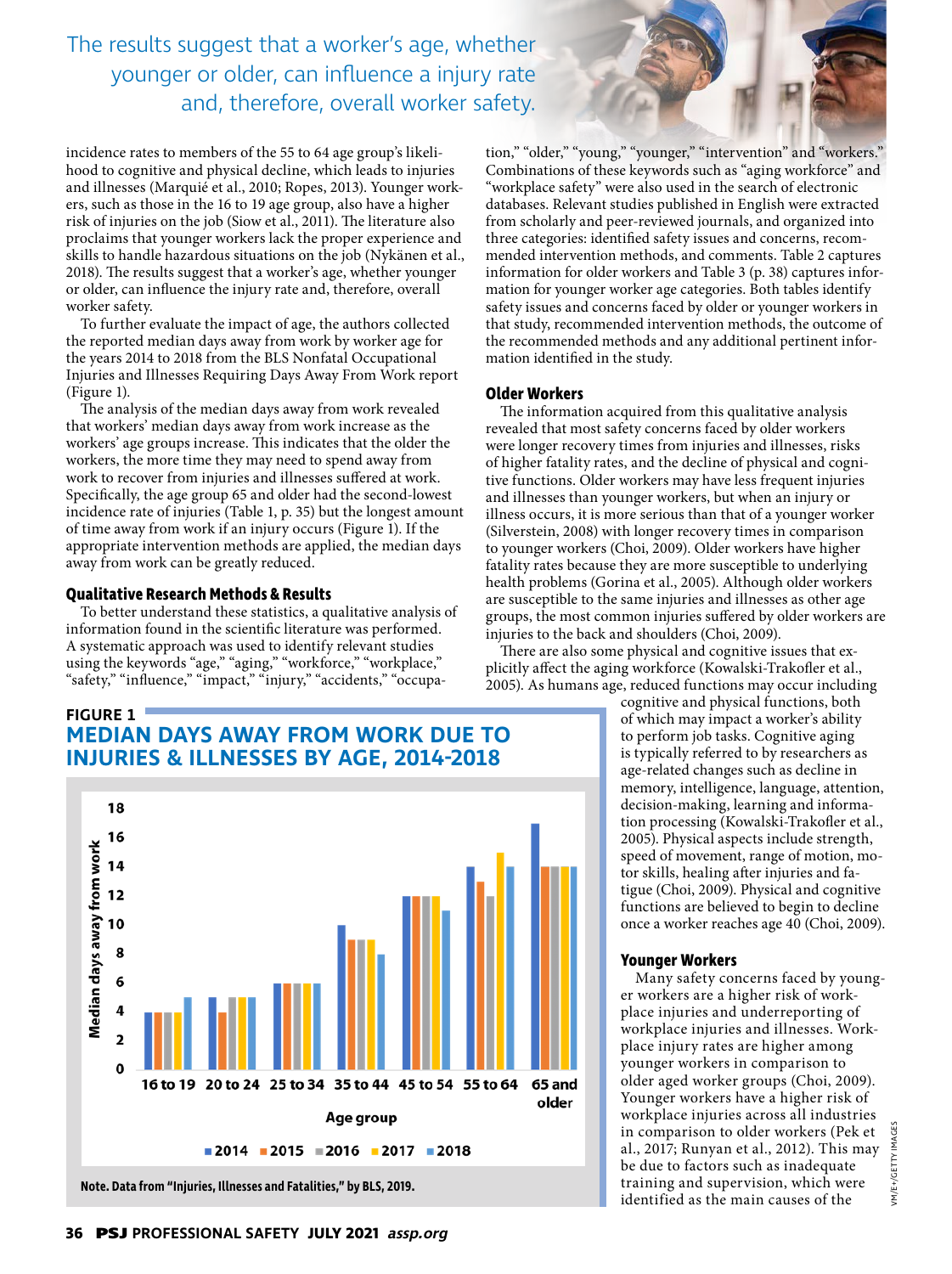The results suggest that a worker's age, whether younger or older, can influence a injury rate and, therefore, overall worker safety.

incidence rates to members of the 55 to 64 age group's likelihood to cognitive and physical decline, which leads to injuries and illnesses (Marquié et al., 2010; Ropes, 2013). Younger workers, such as those in the 16 to 19 age group, also have a higher risk of injuries on the job (Siow et al., 2011). The literature also proclaims that younger workers lack the proper experience and skills to handle hazardous situations on the job (Nykänen et al., 2018). The results suggest that a worker's age, whether younger or older, can influence the injury rate and, therefore, overall worker safety.

To further evaluate the impact of age, the authors collected the reported median days away from work by worker age for the years 2014 to 2018 from the BLS Nonfatal Occupational Injuries and Illnesses Requiring Days Away From Work report (Figure 1).

The analysis of the median days away from work revealed that workers' median days away from work increase as the workers' age groups increase. This indicates that the older the workers, the more time they may need to spend away from work to recover from injuries and illnesses suffered at work. Specifically, the age group 65 and older had the second-lowest incidence rate of injuries (Table 1, p. 35) but the longest amount of time away from work if an injury occurs (Figure 1). If the appropriate intervention methods are applied, the median days away from work can be greatly reduced.

#### **Qualitative Research Methods & Results**

To better understand these statistics, a qualitative analysis of information found in the scientific literature was performed. A systematic approach was used to identify relevant studies using the keywords "age," "aging," "workforce," "workplace," "safety," "influence," "impact," "injury," "accidents," "occupa-

**FIGURE 1 MEDIAN DAYS AWAY FROM WORK DUE TO INJURIES & ILLNESSES BY AGE, 2014-2018** 



tion," "older," "young," "younger," "intervention" and "workers." Combinations of these keywords such as "aging workforce" and "workplace safety" were also used in the search of electronic databases. Relevant studies published in English were extracted from scholarly and peer-reviewed journals, and organized into three categories: identified safety issues and concerns, recommended intervention methods, and comments. Table 2 captures information for older workers and Table 3 (p. 38) captures information for younger worker age categories. Both tables identify safety issues and concerns faced by older or younger workers in that study, recommended intervention methods, the outcome of the recommended methods and any additional pertinent information identified in the study.

#### **Older Workers**

The information acquired from this qualitative analysis revealed that most safety concerns faced by older workers were longer recovery times from injuries and illnesses, risks of higher fatality rates, and the decline of physical and cognitive functions. Older workers may have less frequent injuries and illnesses than younger workers, but when an injury or illness occurs, it is more serious than that of a younger worker (Silverstein, 2008) with longer recovery times in comparison to younger workers (Choi, 2009). Older workers have higher fatality rates because they are more susceptible to underlying health problems (Gorina et al., 2005). Although older workers are susceptible to the same injuries and illnesses as other age groups, the most common injuries suffered by older workers are injuries to the back and shoulders (Choi, 2009).

There are also some physical and cognitive issues that explicitly affect the aging workforce (Kowalski-Trakofler et al., 2005). As humans age, reduced functions may occur including

> cognitive and physical functions, both of which may impact a worker's ability to perform job tasks. Cognitive aging is typically referred to by researchers as age-related changes such as decline in memory, intelligence, language, attention, decision-making, learning and information processing (Kowalski-Trakofler et al., 2005). Physical aspects include strength, speed of movement, range of motion, motor skills, healing after injuries and fatigue (Choi, 2009). Physical and cognitive functions are believed to begin to decline once a worker reaches age 40 (Choi, 2009).

#### **Younger Workers**

Many safety concerns faced by younger workers are a higher risk of workplace injuries and underreporting of workplace injuries and illnesses. Workplace injury rates are higher among younger workers in comparison to older aged worker groups (Choi, 2009). Younger workers have a higher risk of workplace injuries across all industries in comparison to older workers (Pek et al., 2017; Runyan et al., 2012). This may be due to factors such as inadequate training and supervision, which were identified as the main causes of the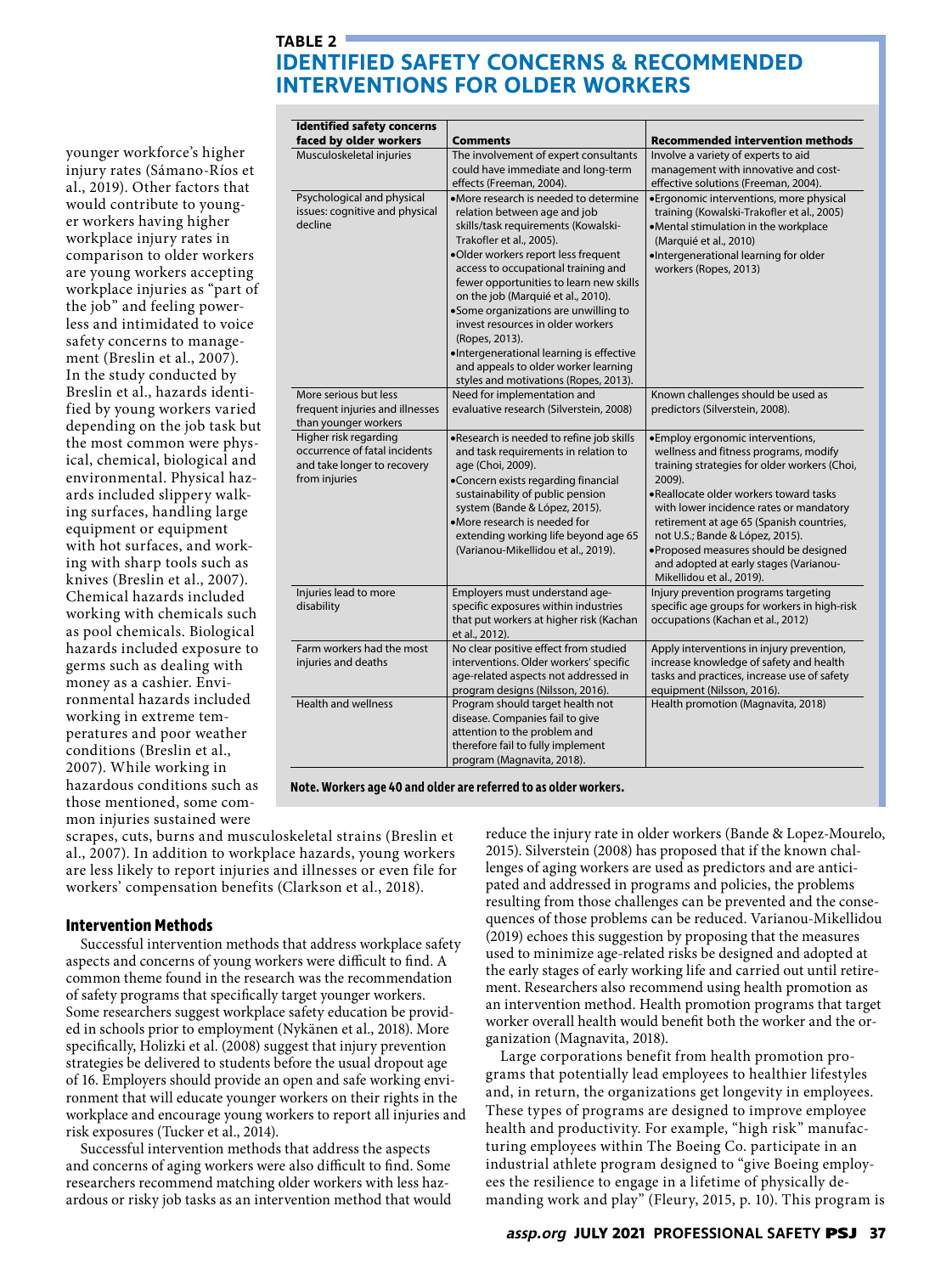## **TABLE 2 IDENTIFIED SAFETY CONCERNS & RECOMMENDED INTERVENTIONS FOR OLDER WORKERS**

younger workforce's higher injury rates (Sámano-Ríos et al., 2019). Other factors that would contribute to younger workers having higher workplace injury rates in comparison to older workers are young workers accepting workplace injuries as "part of the job" and feeling powerless and intimidated to voice safety concerns to management (Breslin et al., 2007). In the study conducted by Breslin et al., hazards identified by young workers varied depending on the job task but the most common were physical, chemical, biological and environmental. Physical hazards included slippery walking surfaces, handling large equipment or equipment with hot surfaces, and working with sharp tools such as knives (Breslin et al., 2007). Chemical hazards included working with chemicals such as pool chemicals. Biological hazards included exposure to germs such as dealing with money as a cashier. Environmental hazards included working in extreme temperatures and poor weather conditions (Breslin et al., 2007). While working in hazardous conditions such as those mentioned, some common injuries sustained were

| <b>Identified safety concerns</b><br>faced by older workers                                            | <b>Comments</b>                                                                                                                                                                                                                                                                                                                                                                                                                                                                                                                     | <b>Recommended intervention methods</b>                                                                                                                                                                                                                                                                                                                                                                                 |
|--------------------------------------------------------------------------------------------------------|-------------------------------------------------------------------------------------------------------------------------------------------------------------------------------------------------------------------------------------------------------------------------------------------------------------------------------------------------------------------------------------------------------------------------------------------------------------------------------------------------------------------------------------|-------------------------------------------------------------------------------------------------------------------------------------------------------------------------------------------------------------------------------------------------------------------------------------------------------------------------------------------------------------------------------------------------------------------------|
| Musculoskeletal injuries                                                                               | The involvement of expert consultants<br>could have immediate and long-term<br>effects (Freeman, 2004).                                                                                                                                                                                                                                                                                                                                                                                                                             | Involve a variety of experts to aid<br>management with innovative and cost-<br>effective solutions (Freeman, 2004).                                                                                                                                                                                                                                                                                                     |
| Psychological and physical<br>issues: cognitive and physical<br>decline                                | •More research is needed to determine<br>relation between age and job<br>skills/task requirements (Kowalski-<br>Trakofler et al., 2005).<br>.Older workers report less frequent<br>access to occupational training and<br>fewer opportunities to learn new skills<br>on the job (Marquié et al., 2010).<br>•Some organizations are unwilling to<br>invest resources in older workers<br>(Ropes, 2013).<br>·Intergenerational learning is effective<br>and appeals to older worker learning<br>styles and motivations (Ropes, 2013). | · Ergonomic interventions, more physical<br>training (Kowalski-Trakofler et al., 2005)<br>•Mental stimulation in the workplace<br>(Marquié et al., 2010)<br>·Intergenerational learning for older<br>workers (Ropes, 2013)                                                                                                                                                                                              |
| More serious but less<br>frequent injuries and illnesses<br>than younger workers                       | Need for implementation and<br>evaluative research (Silverstein, 2008)                                                                                                                                                                                                                                                                                                                                                                                                                                                              | Known challenges should be used as<br>predictors (Silverstein, 2008).                                                                                                                                                                                                                                                                                                                                                   |
| Higher risk regarding<br>occurrence of fatal incidents<br>and take longer to recovery<br>from injuries | .Research is needed to refine job skills<br>and task requirements in relation to<br>age (Choi, 2009).<br>•Concern exists regarding financial<br>sustainability of public pension<br>system (Bande & López, 2015).<br>•More research is needed for<br>extending working life beyond age 65<br>(Varianou-Mikellidou et al., 2019).                                                                                                                                                                                                    | ·Employ ergonomic interventions,<br>wellness and fitness programs, modify<br>training strategies for older workers (Choi,<br>2009).<br>•Reallocate older workers toward tasks<br>with lower incidence rates or mandatory<br>retirement at age 65 (Spanish countries,<br>not U.S.; Bande & López, 2015).<br>·Proposed measures should be designed<br>and adopted at early stages (Varianou-<br>Mikellidou et al., 2019). |
| Injuries lead to more<br>disability                                                                    | Employers must understand age-<br>specific exposures within industries<br>that put workers at higher risk (Kachan<br>et al., 2012).                                                                                                                                                                                                                                                                                                                                                                                                 | Injury prevention programs targeting<br>specific age groups for workers in high-risk<br>occupations (Kachan et al., 2012)                                                                                                                                                                                                                                                                                               |
| Farm workers had the most<br>injuries and deaths                                                       | No clear positive effect from studied<br>interventions. Older workers' specific<br>age-related aspects not addressed in<br>program designs (Nilsson, 2016).                                                                                                                                                                                                                                                                                                                                                                         | Apply interventions in injury prevention,<br>increase knowledge of safety and health<br>tasks and practices, increase use of safety<br>equipment (Nilsson, 2016).                                                                                                                                                                                                                                                       |
| <b>Health and wellness</b>                                                                             | Program should target health not<br>disease. Companies fail to give<br>attention to the problem and<br>therefore fail to fully implement<br>program (Magnavita, 2018).                                                                                                                                                                                                                                                                                                                                                              | Health promotion (Magnavita, 2018)                                                                                                                                                                                                                                                                                                                                                                                      |

**Note. Workers age 40 and older are referred to as older workers.**

scrapes, cuts, burns and musculoskeletal strains (Breslin et al., 2007). In addition to workplace hazards, young workers are less likely to report injuries and illnesses or even file for workers' compensation benefits (Clarkson et al., 2018).

#### **Intervention Methods**

Successful intervention methods that address workplace safety aspects and concerns of young workers were difficult to find. A common theme found in the research was the recommendation of safety programs that specifically target younger workers. Some researchers suggest workplace safety education be provided in schools prior to employment (Nykänen et al., 2018). More specifically, Holizki et al. (2008) suggest that injury prevention strategies be delivered to students before the usual dropout age of 16. Employers should provide an open and safe working environment that will educate younger workers on their rights in the workplace and encourage young workers to report all injuries and risk exposures (Tucker et al., 2014).

Successful intervention methods that address the aspects and concerns of aging workers were also difficult to find. Some researchers recommend matching older workers with less hazardous or risky job tasks as an intervention method that would reduce the injury rate in older workers (Bande & Lopez-Mourelo, 2015). Silverstein (2008) has proposed that if the known challenges of aging workers are used as predictors and are anticipated and addressed in programs and policies, the problems resulting from those challenges can be prevented and the consequences of those problems can be reduced. Varianou-Mikellidou (2019) echoes this suggestion by proposing that the measures used to minimize age-related risks be designed and adopted at the early stages of early working life and carried out until retirement. Researchers also recommend using health promotion as an intervention method. Health promotion programs that target worker overall health would benefit both the worker and the organization (Magnavita, 2018).

Large corporations benefit from health promotion programs that potentially lead employees to healthier lifestyles and, in return, the organizations get longevity in employees. These types of programs are designed to improve employee health and productivity. For example, "high risk" manufacturing employees within The Boeing Co. participate in an industrial athlete program designed to "give Boeing employees the resilience to engage in a lifetime of physically demanding work and play" (Fleury, 2015, p. 10). This program is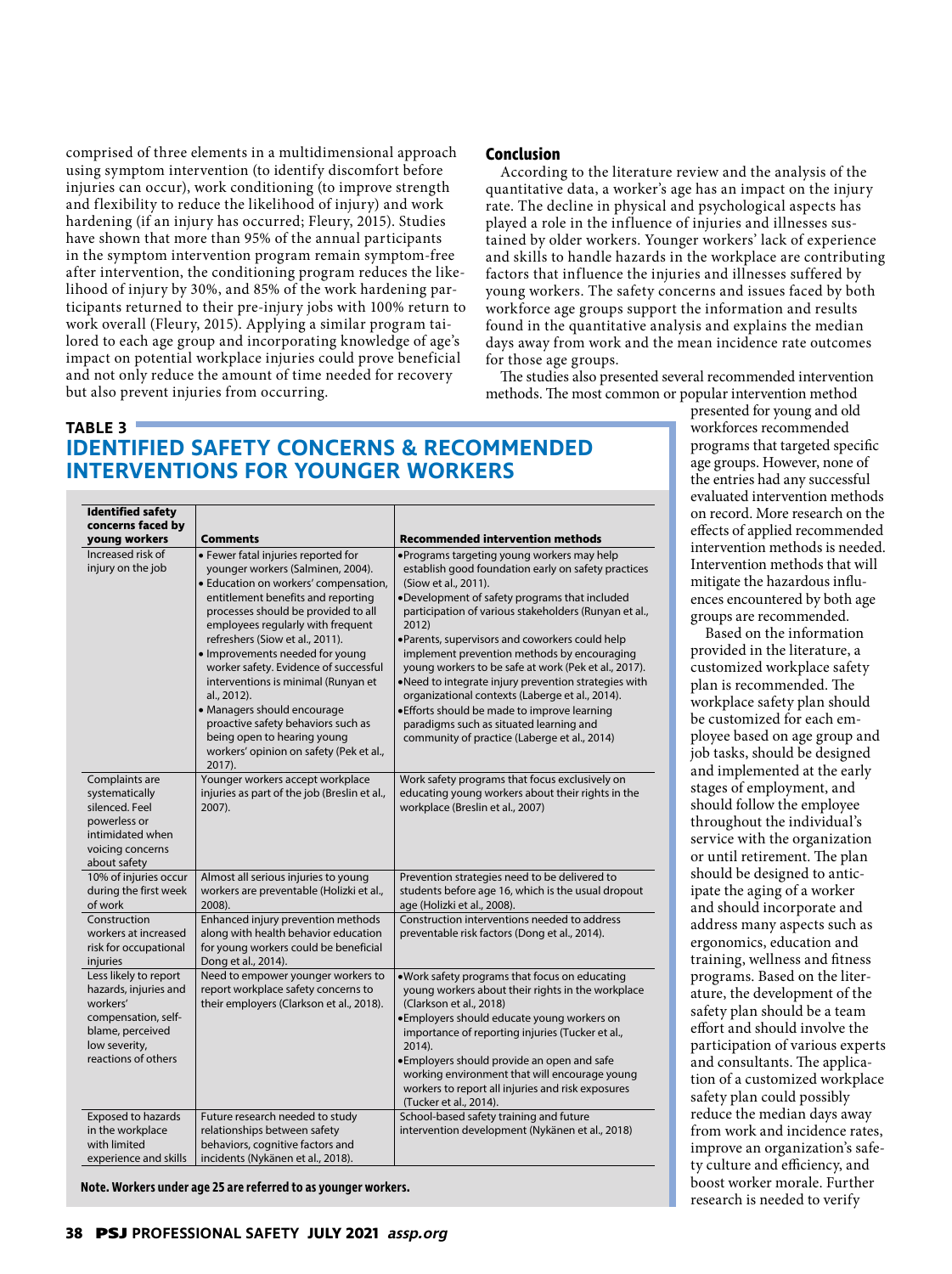comprised of three elements in a multidimensional approach using symptom intervention (to identify discomfort before injuries can occur), work conditioning (to improve strength and flexibility to reduce the likelihood of injury) and work hardening (if an injury has occurred; Fleury, 2015). Studies have shown that more than 95% of the annual participants in the symptom intervention program remain symptom-free after intervention, the conditioning program reduces the likelihood of injury by 30%, and 85% of the work hardening participants returned to their pre-injury jobs with 100% return to work overall (Fleury, 2015). Applying a similar program tailored to each age group and incorporating knowledge of age's impact on potential workplace injuries could prove beneficial and not only reduce the amount of time needed for recovery but also prevent injuries from occurring.

**Identified safety** 

#### **Conclusion**

According to the literature review and the analysis of the quantitative data, a worker's age has an impact on the injury rate. The decline in physical and psychological aspects has played a role in the influence of injuries and illnesses sustained by older workers. Younger workers' lack of experience and skills to handle hazards in the workplace are contributing factors that influence the injuries and illnesses suffered by young workers. The safety concerns and issues faced by both workforce age groups support the information and results found in the quantitative analysis and explains the median days away from work and the mean incidence rate outcomes for those age groups.

The studies also presented several recommended intervention methods. The most common or popular intervention method

# **TABLE 3 IDENTIFIED SAFETY CONCERNS & RECOMMENDED INTERVENTIONS FOR YOUNGER WORKERS**

| concerns faced by                                                                                                                             |                                                                                                                                                                                                                                                                                                                                                                                                                                                                                                                                                                   |                                                                                                                                                                                                                                                                                                                                                                                                                                                                                                                                                                                                                                                             |
|-----------------------------------------------------------------------------------------------------------------------------------------------|-------------------------------------------------------------------------------------------------------------------------------------------------------------------------------------------------------------------------------------------------------------------------------------------------------------------------------------------------------------------------------------------------------------------------------------------------------------------------------------------------------------------------------------------------------------------|-------------------------------------------------------------------------------------------------------------------------------------------------------------------------------------------------------------------------------------------------------------------------------------------------------------------------------------------------------------------------------------------------------------------------------------------------------------------------------------------------------------------------------------------------------------------------------------------------------------------------------------------------------------|
| young workers                                                                                                                                 | <b>Comments</b>                                                                                                                                                                                                                                                                                                                                                                                                                                                                                                                                                   | <b>Recommended intervention methods</b>                                                                                                                                                                                                                                                                                                                                                                                                                                                                                                                                                                                                                     |
| Increased risk of<br>injury on the job                                                                                                        | · Fewer fatal injuries reported for<br>younger workers (Salminen, 2004).<br>· Education on workers' compensation,<br>entitlement benefits and reporting<br>processes should be provided to all<br>employees regularly with frequent<br>refreshers (Siow et al., 2011).<br>· Improvements needed for young<br>worker safety. Evidence of successful<br>interventions is minimal (Runyan et<br>al., 2012).<br>· Managers should encourage<br>proactive safety behaviors such as<br>being open to hearing young<br>workers' opinion on safety (Pek et al.,<br>2017). | ·Programs targeting young workers may help<br>establish good foundation early on safety practices<br>(Siow et al., 2011).<br>.Development of safety programs that included<br>participation of various stakeholders (Runyan et al.,<br>2012)<br>·Parents, supervisors and coworkers could help<br>implement prevention methods by encouraging<br>young workers to be safe at work (Pek et al., 2017).<br>.Need to integrate injury prevention strategies with<br>organizational contexts (Laberge et al., 2014).<br>· Efforts should be made to improve learning<br>paradigms such as situated learning and<br>community of practice (Laberge et al., 2014) |
| Complaints are<br>systematically<br>silenced. Feel<br>powerless or<br>intimidated when<br>voicing concerns<br>about safety                    | Younger workers accept workplace<br>injuries as part of the job (Breslin et al.,<br>2007).                                                                                                                                                                                                                                                                                                                                                                                                                                                                        | Work safety programs that focus exclusively on<br>educating young workers about their rights in the<br>workplace (Breslin et al., 2007)                                                                                                                                                                                                                                                                                                                                                                                                                                                                                                                     |
| 10% of injuries occur<br>during the first week<br>of work                                                                                     | Almost all serious injuries to young<br>workers are preventable (Holizki et al.,<br>2008).                                                                                                                                                                                                                                                                                                                                                                                                                                                                        | Prevention strategies need to be delivered to<br>students before age 16, which is the usual dropout<br>age (Holizki et al., 2008).                                                                                                                                                                                                                                                                                                                                                                                                                                                                                                                          |
| Construction<br>workers at increased<br>risk for occupational<br>injuries                                                                     | Enhanced injury prevention methods<br>along with health behavior education<br>for young workers could be beneficial<br>Dong et al., 2014).                                                                                                                                                                                                                                                                                                                                                                                                                        | Construction interventions needed to address<br>preventable risk factors (Dong et al., 2014).                                                                                                                                                                                                                                                                                                                                                                                                                                                                                                                                                               |
| Less likely to report<br>hazards, injuries and<br>workers'<br>compensation, self-<br>blame, perceived<br>low severity,<br>reactions of others | Need to empower younger workers to<br>report workplace safety concerns to<br>their employers (Clarkson et al., 2018).                                                                                                                                                                                                                                                                                                                                                                                                                                             | . Work safety programs that focus on educating<br>young workers about their rights in the workplace<br>(Clarkson et al., 2018)<br>·Employers should educate young workers on<br>importance of reporting injuries (Tucker et al.,<br>2014).<br>•Employers should provide an open and safe<br>working environment that will encourage young<br>workers to report all injuries and risk exposures<br>(Tucker et al., 2014).                                                                                                                                                                                                                                    |
| Exposed to hazards<br>in the workplace<br>with limited<br>experience and skills                                                               | Future research needed to study<br>relationships between safety<br>behaviors, cognitive factors and<br>incidents (Nykänen et al., 2018).                                                                                                                                                                                                                                                                                                                                                                                                                          | School-based safety training and future<br>intervention development (Nykänen et al., 2018)                                                                                                                                                                                                                                                                                                                                                                                                                                                                                                                                                                  |

**Note. Workers under age 25 are referred to as younger workers.**

presented for young and old workforces recommended programs that targeted specific age groups. However, none of the entries had any successful evaluated intervention methods on record. More research on the effects of applied recommended intervention methods is needed. Intervention methods that will mitigate the hazardous influences encountered by both age groups are recommended.

Based on the information provided in the literature, a customized workplace safety plan is recommended. The workplace safety plan should be customized for each employee based on age group and job tasks, should be designed and implemented at the early stages of employment, and should follow the employee throughout the individual's service with the organization or until retirement. The plan should be designed to anticipate the aging of a worker and should incorporate and address many aspects such as ergonomics, education and training, wellness and fitness programs. Based on the literature, the development of the safety plan should be a team effort and should involve the participation of various experts and consultants. The application of a customized workplace safety plan could possibly reduce the median days away from work and incidence rates, improve an organization's safety culture and efficiency, and boost worker morale. Further research is needed to verify